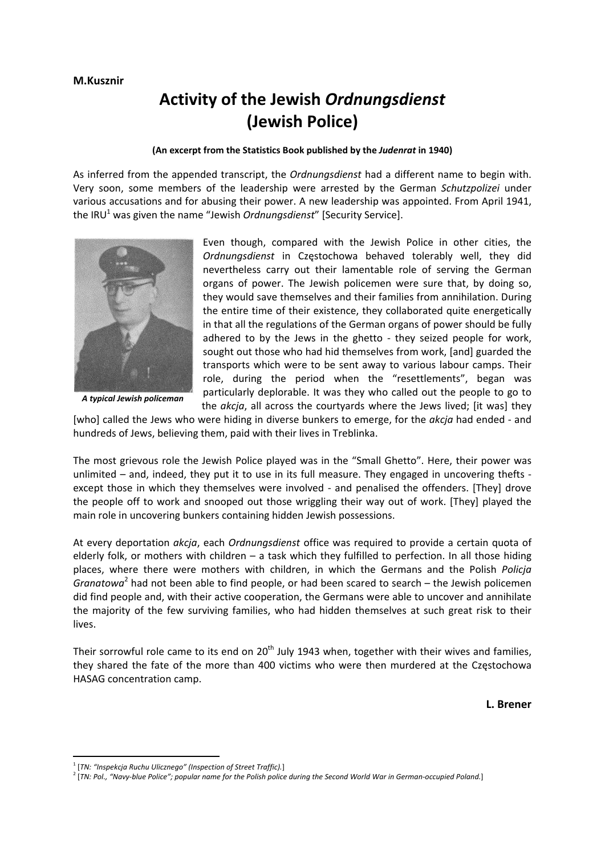## **Activity of the Jewish** *Ordnungsdienst* **(Jewish Police)**

## **(An excerpt from the Statistics Book published by the** *Judenrat* **in 1940)**

As inferred from the appended transcript, the *Ordnungsdienst* had a different name to begin with. Very soon, some members of the leadership were arrested by the German *Schutzpolizei* under various accusations and for abusing their power. A new leadership was appointed. From April 1941, the IRU<sup>1</sup> was given the name "Jewish *Ordnungsdienst*" [Security Service].



*A typical Jewish policeman*

Even though, compared with the Jewish Police in other cities, the *Ordnungsdienst* in Częstochowa behaved tolerably well, they did nevertheless carry out their lamentable role of serving the German organs of power. The Jewish policemen were sure that, by doing so, they would save themselves and their families from annihilation. During the entire time of their existence, they collaborated quite energetically in that all the regulations of the German organs of power should be fully adhered to by the Jews in the ghetto - they seized people for work, sought out those who had hid themselves from work, [and] guarded the transports which were to be sent away to various labour camps. Their role, during the period when the "resettlements", began was particularly deplorable. It was they who called out the people to go to the *akcja*, all across the courtyards where the Jews lived; [it was] they

[who] called the Jews who were hiding in diverse bunkers to emerge, for the *akcja* had ended ‐ and hundreds of Jews, believing them, paid with their lives in Treblinka.

The most grievous role the Jewish Police played was in the "Small Ghetto". Here, their power was unlimited – and, indeed, they put it to use in its full measure. They engaged in uncovering thefts ‐ except those in which they themselves were involved - and penalised the offenders. [They] drove the people off to work and snooped out those wriggling their way out of work. [They] played the main role in uncovering bunkers containing hidden Jewish possessions.

At every deportation *akcja*, each *Ordnungsdienst* office was required to provide a certain quota of elderly folk, or mothers with children – a task which they fulfilled to perfection. In all those hiding places, where there were mothers with children, in which the Germans and the Polish *Policja Granatowa*<sup>2</sup> had not been able to find people, or had been scared to search – the Jewish policemen did find people and, with their active cooperation, the Germans were able to uncover and annihilate the majority of the few surviving families, who had hidden themselves at such great risk to their lives.

Their sorrowful role came to its end on 20<sup>th</sup> July 1943 when, together with their wives and families, they shared the fate of the more than 400 victims who were then murdered at the Częstochowa HASAG concentration camp.

**L. Brener** 

<sup>1</sup> [*TN: "Inspekcja Ruchu Ulicznego" (Inspection of Street Traffic).*]

<sup>&</sup>lt;sup>2</sup> [TN: Pol., "Navy-blue Police"; popular name for the Polish police during the Second World War in German-occupied Poland.]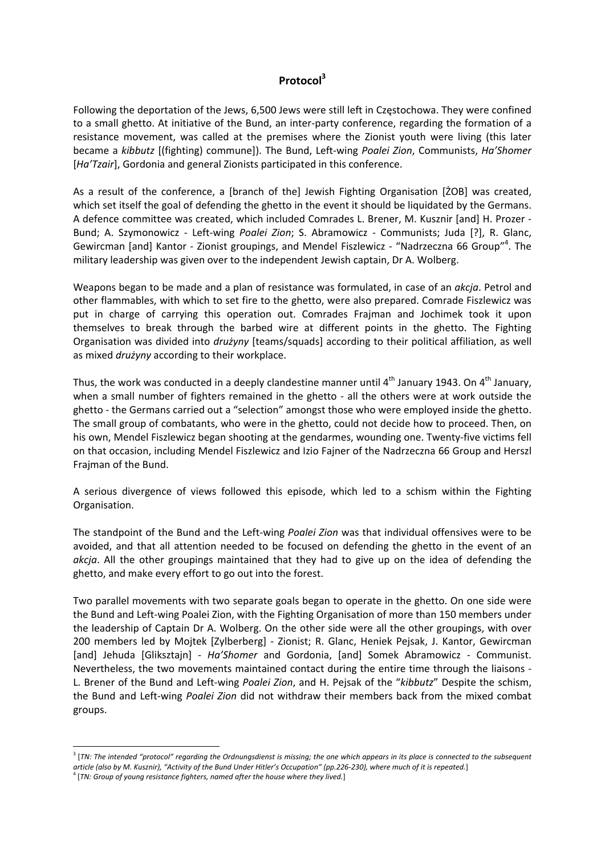## **Protocol3**

Following the deportation of the Jews, 6,500 Jews were still left in Częstochowa. They were confined to a small ghetto. At initiative of the Bund, an inter-party conference, regarding the formation of a resistance movement, was called at the premises where the Zionist youth were living (this later became a *kibbutz* [(fighting) commune]). The Bund, Left‐wing *Poalei Zion*, Communists, *Ha'Shomer* [*Ha'Tzair*], Gordonia and general Zionists participated in this conference.

As a result of the conference, a [branch of the] Jewish Fighting Organisation [ŻOB] was created, which set itself the goal of defending the ghetto in the event it should be liquidated by the Germans. A defence committee was created, which included Comrades L. Brener, M. Kusznir [and] H. Prozer ‐ Bund; A. Szymonowicz - Left-wing *Poalei Zion*; S. Abramowicz - Communists; Juda [?], R. Glanc, Gewircman [and] Kantor - Zionist groupings, and Mendel Fiszlewicz - "Nadrzeczna 66 Group"<sup>4</sup>. The military leadership was given over to the independent Jewish captain, Dr A. Wolberg.

Weapons began to be made and a plan of resistance was formulated, in case of an *akcja*. Petrol and other flammables, with which to set fire to the ghetto, were also prepared. Comrade Fiszlewicz was put in charge of carrying this operation out. Comrades Frajman and Jochimek took it upon themselves to break through the barbed wire at different points in the ghetto. The Fighting Organisation was divided into *drużyny* [teams/squads] according to their political affiliation, as well as mixed *drużyny* according to their workplace.

Thus, the work was conducted in a deeply clandestine manner until  $4<sup>th</sup>$  January 1943. On  $4<sup>th</sup>$  January, when a small number of fighters remained in the ghetto - all the others were at work outside the ghetto ‐ the Germans carried out a "selection" amongst those who were employed inside the ghetto. The small group of combatants, who were in the ghetto, could not decide how to proceed. Then, on his own, Mendel Fiszlewicz began shooting at the gendarmes, wounding one. Twenty-five victims fell on that occasion, including Mendel Fiszlewicz and Izio Fajner of the Nadrzeczna 66 Group and Herszl Frajman of the Bund.

A serious divergence of views followed this episode, which led to a schism within the Fighting Organisation.

The standpoint of the Bund and the Left‐wing *Poalei Zion* was that individual offensives were to be avoided, and that all attention needed to be focused on defending the ghetto in the event of an *akcja*. All the other groupings maintained that they had to give up on the idea of defending the ghetto, and make every effort to go out into the forest.

Two parallel movements with two separate goals began to operate in the ghetto. On one side were the Bund and Left‐wing Poalei Zion, with the Fighting Organisation of more than 150 members under the leadership of Captain Dr A. Wolberg. On the other side were all the other groupings, with over 200 members led by Mojtek [Zylberberg] ‐ Zionist; R. Glanc, Heniek Pejsak, J. Kantor, Gewircman [and] Jehuda [Gliksztajn] - *Ha'Shomer* and Gordonia, [and] Somek Abramowicz - Communist. Nevertheless, the two movements maintained contact during the entire time through the liaisons ‐ L. Brener of the Bund and Left‐wing *Poalei Zion*, and H. Pejsak of the "*kibbutz*" Despite the schism, the Bund and Left‐wing *Poalei Zion* did not withdraw their members back from the mixed combat groups.

 $3$  [TN: The intended "protocol" regarding the Ordnungsdienst is missing; the one which appears in its place is connected to the subsequent article (also by M. Kusznir), "Activity of the Bund Under Hitler's Occupation" (pp.226-230), where much of it is repeated.]

<sup>4</sup> [*TN: Group of young resistance fighters, named after the house where they lived.*]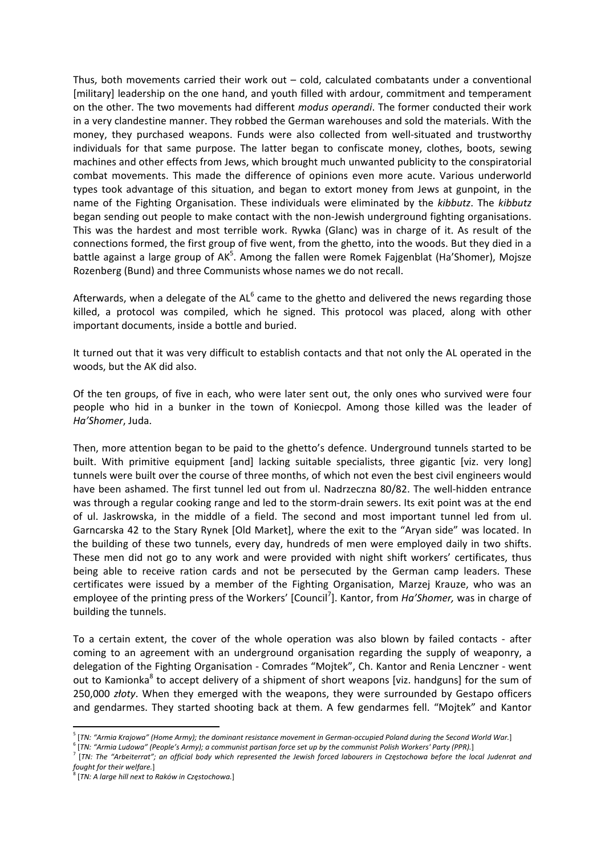Thus, both movements carried their work out – cold, calculated combatants under a conventional [military] leadership on the one hand, and youth filled with ardour, commitment and temperament on the other. The two movements had different *modus operandi*. The former conducted their work in a very clandestine manner. They robbed the German warehouses and sold the materials. With the money, they purchased weapons. Funds were also collected from well-situated and trustworthy individuals for that same purpose. The latter began to confiscate money, clothes, boots, sewing machines and other effects from Jews, which brought much unwanted publicity to the conspiratorial combat movements. This made the difference of opinions even more acute. Various underworld types took advantage of this situation, and began to extort money from Jews at gunpoint, in the name of the Fighting Organisation. These individuals were eliminated by the *kibbutz*. The *kibbutz* began sending out people to make contact with the non‐Jewish underground fighting organisations. This was the hardest and most terrible work. Rywka (Glanc) was in charge of it. As result of the connections formed, the first group of five went, from the ghetto, into the woods. But they died in a battle against a large group of AK<sup>5</sup>. Among the fallen were Romek Fajgenblat (Ha'Shomer), Mojsze Rozenberg (Bund) and three Communists whose names we do not recall.

Afterwards, when a delegate of the  $AL<sup>6</sup>$  came to the ghetto and delivered the news regarding those killed, a protocol was compiled, which he signed. This protocol was placed, along with other important documents, inside a bottle and buried.

It turned out that it was very difficult to establish contacts and that not only the AL operated in the woods, but the AK did also.

Of the ten groups, of five in each, who were later sent out, the only ones who survived were four people who hid in a bunker in the town of Koniecpol. Among those killed was the leader of *Ha'Shomer*, Juda.

Then, more attention began to be paid to the ghetto's defence. Underground tunnels started to be built. With primitive equipment [and] lacking suitable specialists, three gigantic [viz. very long] tunnels were built over the course of three months, of which not even the best civil engineers would have been ashamed. The first tunnel led out from ul. Nadrzeczna 80/82. The well-hidden entrance was through a regular cooking range and led to the storm-drain sewers. Its exit point was at the end of ul. Jaskrowska, in the middle of a field. The second and most important tunnel led from ul. Garncarska 42 to the Stary Rynek [Old Market], where the exit to the "Aryan side" was located. In the building of these two tunnels, every day, hundreds of men were employed daily in two shifts. These men did not go to any work and were provided with night shift workers' certificates, thus being able to receive ration cards and not be persecuted by the German camp leaders. These certificates were issued by a member of the Fighting Organisation, Marzej Krauze, who was an employee of the printing press of the Workers' [Council<sup>7</sup>]. Kantor, from *Ha'Shomer*, was in charge of building the tunnels.

To a certain extent, the cover of the whole operation was also blown by failed contacts ‐ after coming to an agreement with an underground organisation regarding the supply of weaponry, a delegation of the Fighting Organisation ‐ Comrades "Mojtek", Ch. Kantor and Renia Lenczner ‐ went out to Kamionka<sup>8</sup> to accept delivery of a shipment of short weapons [viz. handguns] for the sum of 250,000 *złoty*. When they emerged with the weapons, they were surrounded by Gestapo officers and gendarmes. They started shooting back at them. A few gendarmes fell. "Mojtek" and Kantor

<sup>&</sup>lt;sup>5</sup> [TN: "Armia Krajowa" (Home Army); the dominant resistance movement in German-occupied Poland during the Second World War.]

<sup>&</sup>lt;sup>6</sup> [TN: "Armia Ludowa" (People's Army); a communist partisan force set up by the communist Polish Workers' Party (PPR).]<br><sup>7</sup> [TN: The "Arbeiterrat"; an official body which represented the Jewish forced labourers in Często *fought for their welfare.*]

<sup>8</sup> [*TN: A large hill next to Raków in Częstochowa.*]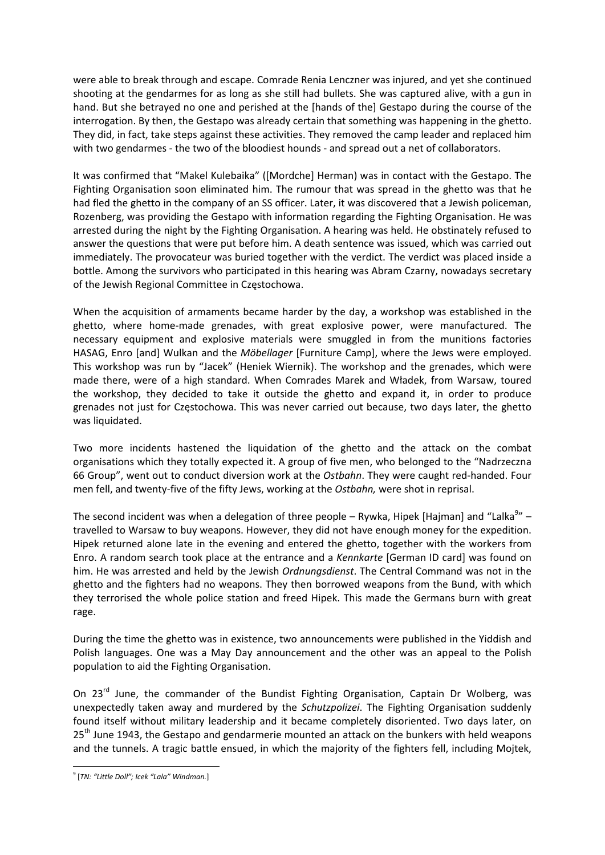were able to break through and escape. Comrade Renia Lenczner was injured, and yet she continued shooting at the gendarmes for as long as she still had bullets. She was captured alive, with a gun in hand. But she betrayed no one and perished at the [hands of the] Gestapo during the course of the interrogation. By then, the Gestapo was already certain that something was happening in the ghetto. They did, in fact, take steps against these activities. They removed the camp leader and replaced him with two gendarmes - the two of the bloodiest hounds - and spread out a net of collaborators.

It was confirmed that "Makel Kulebaika" ([Mordche] Herman) was in contact with the Gestapo. The Fighting Organisation soon eliminated him. The rumour that was spread in the ghetto was that he had fled the ghetto in the company of an SS officer. Later, it was discovered that a Jewish policeman, Rozenberg, was providing the Gestapo with information regarding the Fighting Organisation. He was arrested during the night by the Fighting Organisation. A hearing was held. He obstinately refused to answer the questions that were put before him. A death sentence was issued, which was carried out immediately. The provocateur was buried together with the verdict. The verdict was placed inside a bottle. Among the survivors who participated in this hearing was Abram Czarny, nowadays secretary of the Jewish Regional Committee in Częstochowa.

When the acquisition of armaments became harder by the day, a workshop was established in the ghetto, where home‐made grenades, with great explosive power, were manufactured. The necessary equipment and explosive materials were smuggled in from the munitions factories HASAG, Enro [and] Wulkan and the *Möbellager* [Furniture Camp], where the Jews were employed. This workshop was run by "Jacek" (Heniek Wiernik). The workshop and the grenades, which were made there, were of a high standard. When Comrades Marek and Władek, from Warsaw, toured the workshop, they decided to take it outside the ghetto and expand it, in order to produce grenades not just for Częstochowa. This was never carried out because, two days later, the ghetto was liquidated.

Two more incidents hastened the liquidation of the ghetto and the attack on the combat organisations which they totally expected it. A group of five men, who belonged to the "Nadrzeczna 66 Group", went out to conduct diversion work at the *Ostbahn*. They were caught red‐handed. Four men fell, and twenty‐five of the fifty Jews, working at the *Ostbahn,* were shot in reprisal.

The second incident was when a delegation of three people – Rywka, Hipek [Hajman] and "Lalka<sup>9</sup>" – travelled to Warsaw to buy weapons. However, they did not have enough money for the expedition. Hipek returned alone late in the evening and entered the ghetto, together with the workers from Enro. A random search took place at the entrance and a *Kennkarte* [German ID card] was found on him. He was arrested and held by the Jewish *Ordnungsdienst*. The Central Command was not in the ghetto and the fighters had no weapons. They then borrowed weapons from the Bund, with which they terrorised the whole police station and freed Hipek. This made the Germans burn with great rage.

During the time the ghetto was in existence, two announcements were published in the Yiddish and Polish languages. One was a May Day announcement and the other was an appeal to the Polish population to aid the Fighting Organisation.

On 23<sup>rd</sup> June, the commander of the Bundist Fighting Organisation, Captain Dr Wolberg, was unexpectedly taken away and murdered by the *Schutzpolizei*. The Fighting Organisation suddenly found itself without military leadership and it became completely disoriented. Two days later, on 25<sup>th</sup> June 1943, the Gestapo and gendarmerie mounted an attack on the bunkers with held weapons and the tunnels. A tragic battle ensued, in which the majority of the fighters fell, including Mojtek,

 <sup>9</sup> [*TN: "Little Doll"; Icek "Lala" Windman.*]